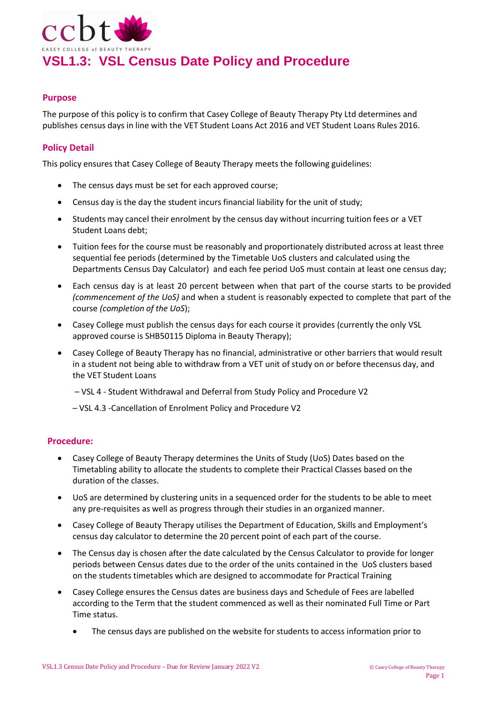

### **Purpose**

The purpose of this policy is to confirm that Casey College of Beauty Therapy Pty Ltd determines and publishes census days in line with the VET Student Loans Act 2016 and VET Student Loans Rules 2016.

## **Policy Detail**

This policy ensures that Casey College of Beauty Therapy meets the following guidelines:

- The census days must be set for each approved course;
- Census day is the day the student incurs financial liability for the unit of study;
- Students may cancel their enrolment by the census day without incurring tuition fees or a VET Student Loans debt;
- Tuition fees for the course must be reasonably and proportionately distributed across at least three sequential fee periods (determined by the Timetable UoS clusters and calculated using the Departments Census Day Calculator) and each fee period UoS must contain at least one census day;
- Each census day is at least 20 percent between when that part of the course starts to be provided *(commencement of the UoS)* and when a student is reasonably expected to complete that part of the course *(completion of the UoS*);
- Casey College must publish the census days for each course it provides (currently the only VSL approved course is SHB50115 Diploma in Beauty Therapy);
- Casey College of Beauty Therapy has no financial, administrative or other barriers that would result in a student not being able to withdraw from a VET unit of study on or before thecensus day, and the VET Student Loans

– VSL 4 - Student Withdrawal and Deferral from Study Policy and Procedure V2

– VSL 4.3 -Cancellation of Enrolment Policy and Procedure V2

### **Procedure:**

- Casey College of Beauty Therapy determines the Units of Study (UoS) Dates based on the Timetabling ability to allocate the students to complete their Practical Classes based on the duration of the classes.
- UoS are determined by clustering units in a sequenced order for the students to be able to meet any pre-requisites as well as progress through their studies in an organized manner.
- Casey College of Beauty Therapy utilises the Department of Education, Skills and Employment's census day calculator to determine the 20 percent point of each part of the course.
- The Census day is chosen after the date calculated by the Census Calculator to provide for longer periods between Census dates due to the order of the units contained in the UoS clusters based on the students timetables which are designed to accommodate for Practical Training
- Casey College ensures the Census dates are business days and Schedule of Fees are labelled according to the Term that the student commenced as well as their nominated Full Time or Part Time status.
	- The census days are published on the website for students to access information prior to